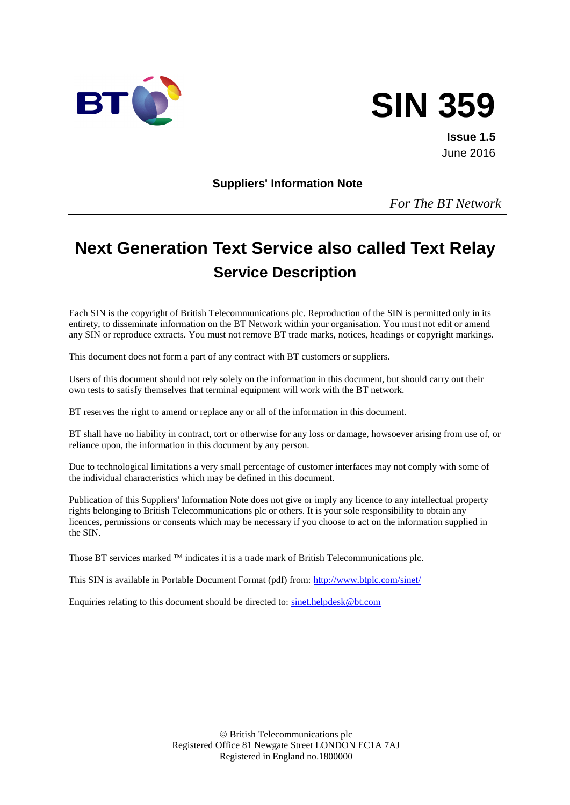



**Issue 1.5** June 2016

**Suppliers' Information Note**

*For The BT Network*

# **Next Generation Text Service also called Text Relay Service Description**

Each SIN is the copyright of British Telecommunications plc. Reproduction of the SIN is permitted only in its entirety, to disseminate information on the BT Network within your organisation. You must not edit or amend any SIN or reproduce extracts. You must not remove BT trade marks, notices, headings or copyright markings.

This document does not form a part of any contract with BT customers or suppliers.

Users of this document should not rely solely on the information in this document, but should carry out their own tests to satisfy themselves that terminal equipment will work with the BT network.

BT reserves the right to amend or replace any or all of the information in this document.

BT shall have no liability in contract, tort or otherwise for any loss or damage, howsoever arising from use of, or reliance upon, the information in this document by any person.

Due to technological limitations a very small percentage of customer interfaces may not comply with some of the individual characteristics which may be defined in this document.

Publication of this Suppliers' Information Note does not give or imply any licence to any intellectual property rights belonging to British Telecommunications plc or others. It is your sole responsibility to obtain any licences, permissions or consents which may be necessary if you choose to act on the information supplied in the SIN.

Those BT services marked  $TM$  indicates it is a trade mark of British Telecommunications plc.

This SIN is available in Portable Document Format (pdf) from:<http://www.btplc.com/sinet/>

Enquiries relating to this document should be directed to: [sinet.helpdesk@bt.com](mailto:sinet.helpdesk@bt.com)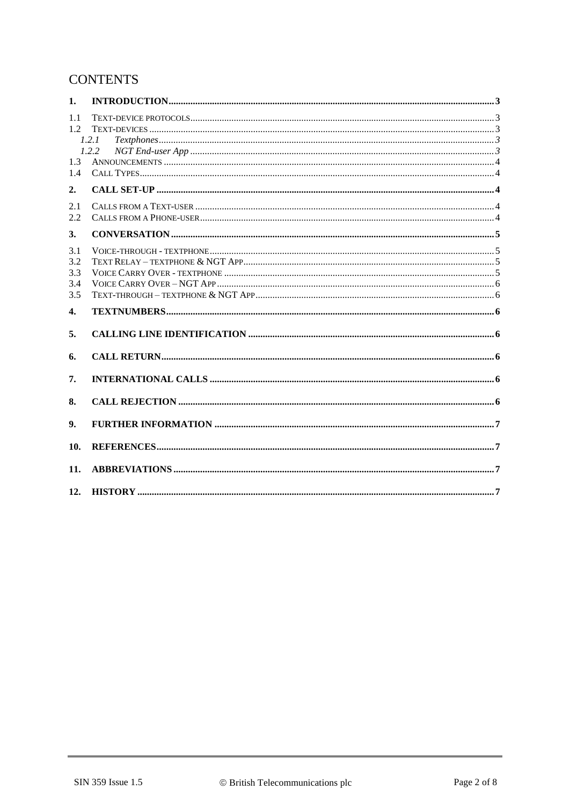## **CONTENTS**

| 1.         |       |  |
|------------|-------|--|
| 1.1<br>1.2 |       |  |
|            | 1.2.1 |  |
| 1.3        | 1.2.2 |  |
| 1.4        |       |  |
| 2.         |       |  |
| 2.1        |       |  |
| 2.2        |       |  |
| 3.         |       |  |
| 3.1        |       |  |
| 3.2        |       |  |
| 3.3        |       |  |
| 3.4        |       |  |
| 3.5        |       |  |
|            |       |  |
| 4.         |       |  |
| 5.         |       |  |
| 6.         |       |  |
| 7.         |       |  |
| 8.         |       |  |
| 9.         |       |  |
| 10.        |       |  |
| 11.        |       |  |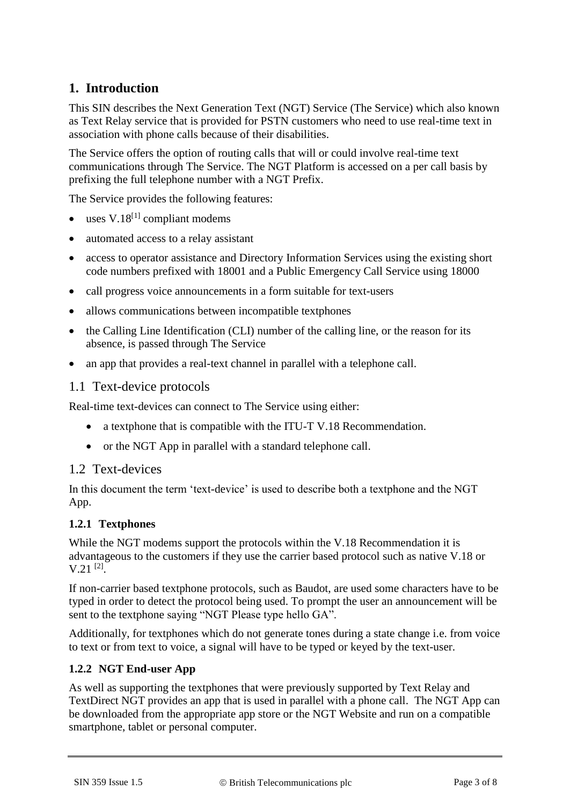# **1. Introduction**

This SIN describes the Next Generation Text (NGT) Service (The Service) which also known as Text Relay service that is provided for PSTN customers who need to use real-time text in association with phone calls because of their disabilities.

The Service offers the option of routing calls that will or could involve real-time text communications through The Service. The NGT Platform is accessed on a per call basis by prefixing the full telephone number with a NGT Prefix.

The Service provides the following features:

- $\bullet$  uses V.18<sup>[\[1\]](#page-6-0)</sup> compliant modems
- automated access to a relay assistant
- access to operator assistance and Directory Information Services using the existing short code numbers prefixed with 18001 and a Public Emergency Call Service using 18000
- call progress voice announcements in a form suitable for text-users
- allows communications between incompatible textphones
- the Calling Line Identification (CLI) number of the calling line, or the reason for its absence, is passed through The Service
- an app that provides a real-text channel in parallel with a telephone call.

#### 1.1 Text-device protocols

Real-time text-devices can connect to The Service using either:

- a textphone that is compatible with the ITU-T V.18 Recommendation.
- or the NGT App in parallel with a standard telephone call.

#### 1.2 Text-devices

In this document the term 'text-device' is used to describe both a textphone and the NGT App.

#### **1.2.1 Textphones**

While the NGT modems support the protocols within the V.18 Recommendation it is advantageous to the customers if they use the carrier based protocol such as native V.18 or  $V.21$ <sup>[\[2\]](#page-6-1)</sup>.

If non-carrier based textphone protocols, such as Baudot, are used some characters have to be typed in order to detect the protocol being used. To prompt the user an announcement will be sent to the textphone saying "NGT Please type hello GA".

Additionally, for textphones which do not generate tones during a state change i.e. from voice to text or from text to voice, a signal will have to be typed or keyed by the text-user.

#### **1.2.2 NGT End-user App**

As well as supporting the textphones that were previously supported by Text Relay and TextDirect NGT provides an app that is used in parallel with a phone call. The NGT App can be downloaded from the appropriate app store or the NGT Website and run on a compatible smartphone, tablet or personal computer.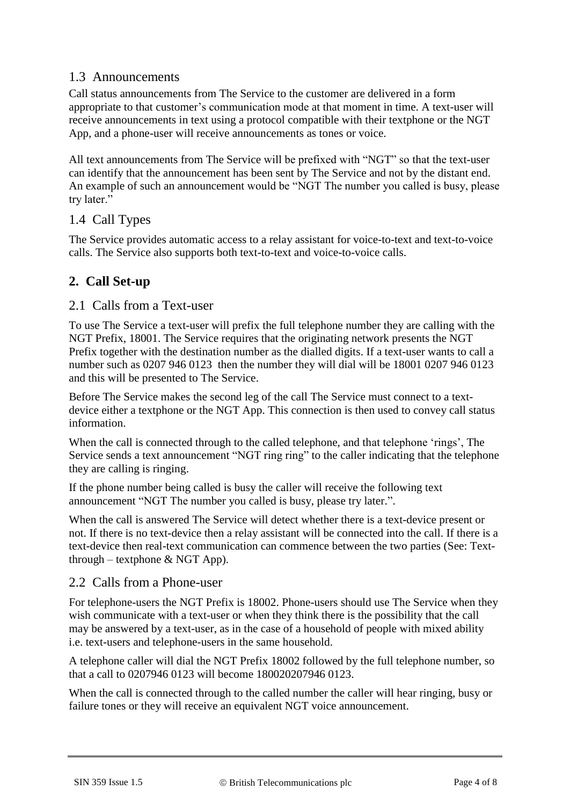## 1.3 Announcements

Call status announcements from The Service to the customer are delivered in a form appropriate to that customer's communication mode at that moment in time. A text-user will receive announcements in text using a protocol compatible with their textphone or the NGT App, and a phone-user will receive announcements as tones or voice.

All text announcements from The Service will be prefixed with "NGT" so that the text-user can identify that the announcement has been sent by The Service and not by the distant end. An example of such an announcement would be "NGT The number you called is busy, please try later."

#### 1.4 Call Types

The Service provides automatic access to a relay assistant for voice-to-text and text-to-voice calls. The Service also supports both text-to-text and voice-to-voice calls.

## **2. Call Set-up**

#### 2.1 Calls from a Text-user

To use The Service a text-user will prefix the full telephone number they are calling with the NGT Prefix, 18001. The Service requires that the originating network presents the NGT Prefix together with the destination number as the dialled digits. If a text-user wants to call a number such as 0207 946 0123 then the number they will dial will be 18001 0207 946 0123 and this will be presented to The Service.

Before The Service makes the second leg of the call The Service must connect to a textdevice either a textphone or the NGT App. This connection is then used to convey call status information.

When the call is connected through to the called telephone, and that telephone 'rings', The Service sends a text announcement "NGT ring ring" to the caller indicating that the telephone they are calling is ringing.

If the phone number being called is busy the caller will receive the following text announcement "NGT The number you called is busy, please try later.".

When the call is answered The Service will detect whether there is a text-device present or not. If there is no text-device then a relay assistant will be connected into the call. If there is a text-device then real-text communication can commence between the two parties (See: [Text](#page-5-0)through – textphone  $& NGT App$ .

#### 2.2 Calls from a Phone-user

For telephone-users the NGT Prefix is 18002. Phone-users should use The Service when they wish communicate with a text-user or when they think there is the possibility that the call may be answered by a text-user, as in the case of a household of people with mixed ability i.e. text-users and telephone-users in the same household.

A telephone caller will dial the NGT Prefix 18002 followed by the full telephone number, so that a call to 0207946 0123 will become 180020207946 0123.

When the call is connected through to the called number the caller will hear ringing, busy or failure tones or they will receive an equivalent NGT voice announcement.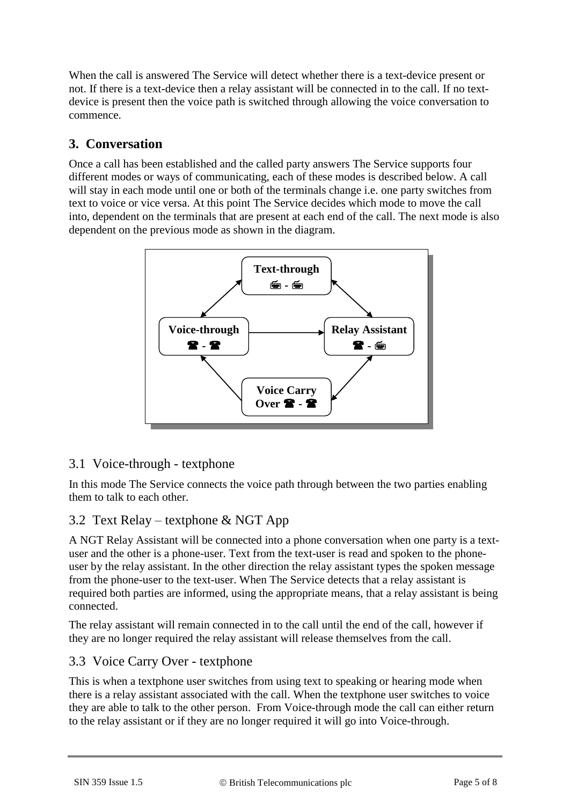When the call is answered The Service will detect whether there is a text-device present or not. If there is a text-device then a relay assistant will be connected in to the call. If no textdevice is present then the voice path is switched through allowing the voice conversation to commence.

## **3. Conversation**

Once a call has been established and the called party answers The Service supports four different modes or ways of communicating, each of these modes is described below. A call will stay in each mode until one or both of the terminals change i.e. one party switches from text to voice or vice versa. At this point The Service decides which mode to move the call into, dependent on the terminals that are present at each end of the call. The next mode is also dependent on the previous mode as shown in the diagram.



## 3.1 Voice-through - textphone

In this mode The Service connects the voice path through between the two parties enabling them to talk to each other.

## 3.2 Text Relay – textphone & NGT App

A NGT Relay Assistant will be connected into a phone conversation when one party is a textuser and the other is a phone-user. Text from the text-user is read and spoken to the phoneuser by the relay assistant. In the other direction the relay assistant types the spoken message from the phone-user to the text-user. When The Service detects that a relay assistant is required both parties are informed, using the appropriate means, that a relay assistant is being connected.

The relay assistant will remain connected in to the call until the end of the call, however if they are no longer required the relay assistant will release themselves from the call.

#### 3.3 Voice Carry Over - textphone

This is when a textphone user switches from using text to speaking or hearing mode when there is a relay assistant associated with the call. When the textphone user switches to voice they are able to talk to the other person. From Voice-through mode the call can either return to the relay assistant or if they are no longer required it will go into Voice-through.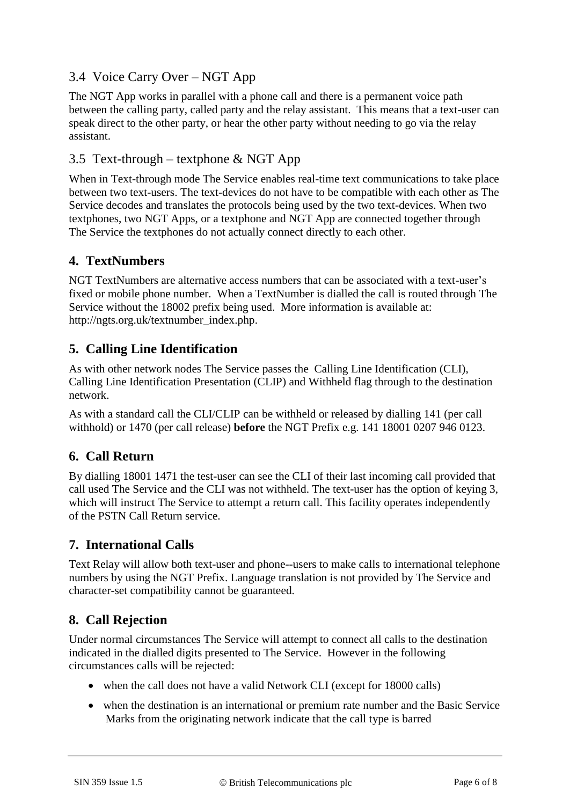## 3.4 Voice Carry Over – NGT App

The NGT App works in parallel with a phone call and there is a permanent voice path between the calling party, called party and the relay assistant. This means that a text-user can speak direct to the other party, or hear the other party without needing to go via the relay assistant.

## <span id="page-5-0"></span>3.5 Text-through – textphone & NGT App

When in Text-through mode The Service enables real-time text communications to take place between two text-users. The text-devices do not have to be compatible with each other as The Service decodes and translates the protocols being used by the two text-devices. When two textphones, two NGT Apps, or a textphone and NGT App are connected together through The Service the textphones do not actually connect directly to each other.

## **4. TextNumbers**

NGT TextNumbers are alternative access numbers that can be associated with a text-user's fixed or mobile phone number. When a TextNumber is dialled the call is routed through The Service without the 18002 prefix being used. More information is available at: http://ngts.org.uk/textnumber\_index.php.

## **5. Calling Line Identification**

As with other network nodes The Service passes the Calling Line Identification (CLI), Calling Line Identification Presentation (CLIP) and Withheld flag through to the destination network.

As with a standard call the CLI/CLIP can be withheld or released by dialling 141 (per call withhold) or 1470 (per call release) **before** the NGT Prefix e.g. 141 18001 0207 946 0123.

## **6. Call Return**

By dialling 18001 1471 the test-user can see the CLI of their last incoming call provided that call used The Service and the CLI was not withheld. The text-user has the option of keying 3, which will instruct The Service to attempt a return call. This facility operates independently of the PSTN Call Return service.

## **7. International Calls**

Text Relay will allow both text-user and phone--users to make calls to international telephone numbers by using the NGT Prefix. Language translation is not provided by The Service and character-set compatibility cannot be guaranteed.

## **8. Call Rejection**

Under normal circumstances The Service will attempt to connect all calls to the destination indicated in the dialled digits presented to The Service. However in the following circumstances calls will be rejected:

- when the call does not have a valid Network CLI (except for 18000 calls)
- when the destination is an international or premium rate number and the Basic Service Marks from the originating network indicate that the call type is barred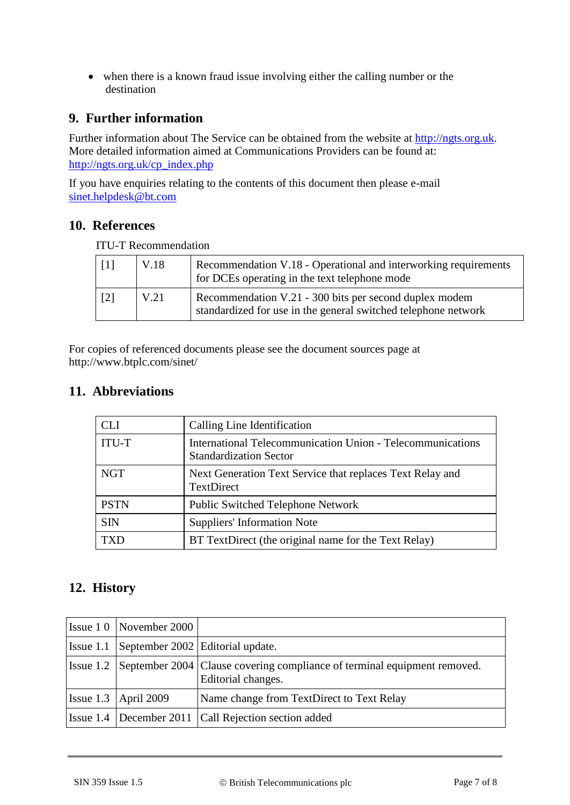when there is a known fraud issue involving either the calling number or the destination

#### **9. Further information**

Further information about The Service can be obtained from the website at [http://ngts.org.uk.](http://ngts.org.uk/) More detailed information aimed at Communications Providers can be found at: [http://ngts.org.uk/cp\\_index.php](http://ngts.org.uk/cp_index.php)

If you have enquiries relating to the contents of this document then please e-mail [sinet.helpdesk@bt.com](mailto:sinet.helpdesk@bt.com)

#### **10. References**

<span id="page-6-1"></span><span id="page-6-0"></span>

| $\lceil 1 \rceil$ | V.18 | Recommendation V.18 - Operational and interworking requirements<br>for DCEs operating in the text telephone mode         |
|-------------------|------|--------------------------------------------------------------------------------------------------------------------------|
| $\lceil 2 \rceil$ | V.21 | Recommendation V.21 - 300 bits per second duplex modem<br>standardized for use in the general switched telephone network |

ITU-T Recommendation

For copies of referenced documents please see the document sources page at http://www.btplc.com/sinet/

#### **11. Abbreviations**

| CL I         | Calling Line Identification                                                                 |
|--------------|---------------------------------------------------------------------------------------------|
| <b>ITU-T</b> | International Telecommunication Union - Telecommunications<br><b>Standardization Sector</b> |
| <b>NGT</b>   | Next Generation Text Service that replaces Text Relay and<br><b>TextDirect</b>              |
| <b>PSTN</b>  | <b>Public Switched Telephone Network</b>                                                    |
| <b>SIN</b>   | <b>Suppliers' Information Note</b>                                                          |
|              | BT TextDirect (the original name for the Text Relay)                                        |

## **12. History**

| $\text{Issue} 10 \text{ [November 2000]}$  |                                                                                                          |
|--------------------------------------------|----------------------------------------------------------------------------------------------------------|
| Issue 1.1 September 2002 Editorial update. |                                                                                                          |
|                                            | Issue 1.2 September 2004 Clause covering compliance of terminal equipment removed.<br>Editorial changes. |
| Issue 1.3   April 2009                     | Name change from TextDirect to Text Relay                                                                |
|                                            | Issue 1.4   December 2011   Call Rejection section added                                                 |